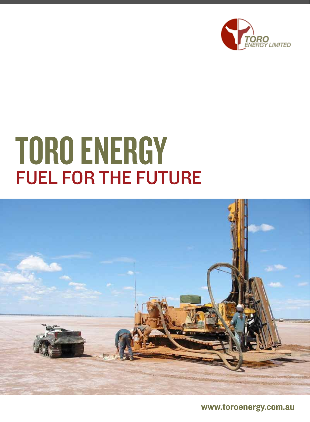

## **TORO ENERGY** FUEL FOR THE FUTURE



www.toroenergy.com.au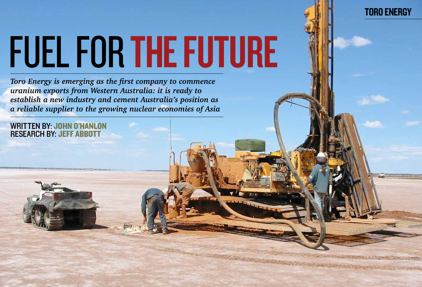# FUEL FOR THE FUTURE

*Toro Energy is emerging as the first company to commence uranium exports from Western Australia: it is ready to establish a new industry and cement Australia's position as a reliable supplier to the growing nuclear economies of Asia*

written by: John O'Hanlon research by: Jeff Abbott

## **TORO ENERGY**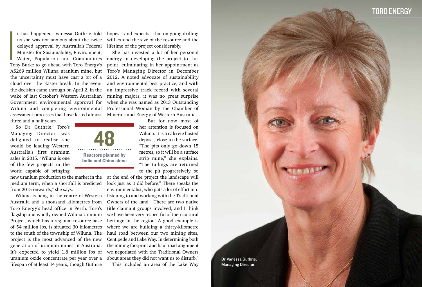**I**<br>Ion t has happened. Vanessa Guthrie told us she was not anxious about the twice delayed approval by Australia's Federal Minister for Sustainability, Environment, Water, Population and Communities Tony Burke to go ahead with Toro Energy's A\$269 million Wiluna uranium mine, but the uncertainty must have cast a bit of a cloud over the Easter break. In the event the decision came through on April 2, in the wake of last October's Western Australian Government environmental approval for Wiluna and completing environmental assessment processes that have lasted almost three and a half years.

So Dr Guthrie, Toro's Managing Director, was delighted to realise she would be leading Western Australia's first uranium sales in 2015. "Wiluna is one of the few projects in the world capable of bringing

new uranium production to the market in the medium term, when a shortfall is predicted from 2015 onwards," she says.

Wiluna is bang in the centre of Western Australia and a thousand kilometres from Toro Energy's head office in Perth. Toro's flagship and wholly-owned Wiluna Uranium Project, which has a regional resource base of 54 million lbs, is situated 30 kilometres to the south of the township of Wiluna. The project is the most advanced of the new generation of uranium mines in Australia. It's expected to yield 1.8 million lbs of uranium oxide concentrate per year over a lifespan of at least 14 years, though Guthrie

Dr Vanessa Guthrie, Managing Director

## TORO ENERGY

hopes – and expects - that on-going drilling will extend the size of the resource and the lifetime of the project considerably.

She has invested a lot of her personal energy in developing the project to this point, culminating in her appointment as Toro's Managing Director in December 2012. A noted advocate of sustainability and environmental best practice, and with an impressive track record with several mining majors, it was no great surprise when she was named as 2013 Outstanding Professional Woman by the Chamber of Minerals and Energy of Western Australia.

> But for now most of her attention is focused on Wiluna. It is a calcrete hosted deposit, close to the surface. "The pits only go down 15 metres, so it will be a surface strip mine," she explains. "The tailings are returned to the pit progressively, so

at the end of the project the landscape will look just as it did before." There speaks the environmentalist, who puts a lot of effort into listening to and working with the Traditional Owners of the land. "There are two native title claimant groups involved, and I think we have been very respectful of their cultural heritage in the region. A good example is where we are building a thirty-kilometre haul road between our two mining sites, Centipede and Lake Way. In determining both the mining footprint and haul road alignment we negotiated with the Traditional Owners about areas they did not want us to disturb." This included an area of the Lake Way

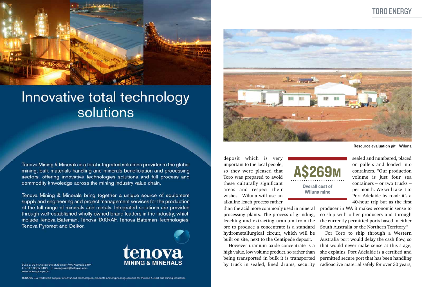

## Innovative total technology solutions

Tenova Mining & Minerals is a total integrated solutions provider to the global mining, bulk materials handling and minerals beneficiation and processing sectors, offering innovative technologies solutions and full process and commodity knwoledge across the mining industry value chain.

Tenova Mining & Minerals bring together a unique source of equipment supply and engineering and project management services for the production of the full range of minerals and metals. Integrated solutions are provided through well-established wholly owned brand leaders in the industry, which include Tenova Bateman, Tenova TAKRAF, Tenova Bateman Technologies, Tenova Pyromet and Delkor.



Suite 2, 93 Francisco Street, Belmont WA Australia 6104 T: +61 8 9365 9400 E: au-enquiries@bateman.com www.tenovagroup.com

TENOVA is a worldwide supplier of advanced technologies, products and engineering services for the iron & steel and mining industries



deposit which is very important to the local people, so they were pleased that Toro was prepared to avoid these culturally significant areas and respect their wishes. Wiluna will use an alkaline leach process rather

than the acid more commonly used in mineral processing plants. The process of grinding, leaching and extracting uranium from the ore to produce a concentrate is a standard hydrometallurgical circuit, which will be built on site, next to the Centipede deposit.

However uranium oxide concentrate is a high value, low volume product, so rather than being transported in bulk it is transported by truck in sealed, lined drums, security

Resource evaluation pit - Wiluna

## Toro Energy

sealed and numbered, placed on pallets and loaded into containers. "Our production volume is just four sea containers – or two trucks – per month. We will take it to Port Adelaide by road: it's a 40-hour trip but as the first

producer in WA it makes economic sense to co-ship with other producers and through the currently permitted ports based in either South Australia or the Northern Territory."

For Toro to ship through a Western Australia port would delay the cash flow, so that would never make sense at this stage, she explains. Port Adelaide is a certified and permitted secure port that has been handling radioactive material safely for over 30 years,

A\$269m Overall cost of

Wiluna mine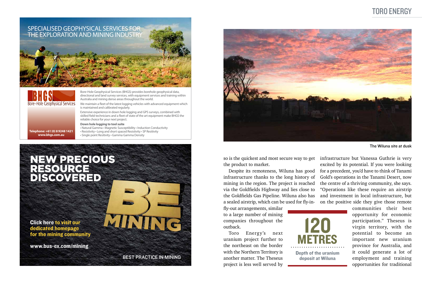## Toro Energy

## NEW PRECIOUS RESOURCE DISCOVERED

Click here to visit our dedicated homepage for the mining community

www.bus-ex.com/mining

BEST PRACTICE IN MINING

MATTTE



Bore-Hole Geophysical Services (BHGS) provides borehole geophysical data, directional and land survey services, with equipment services and training within Australia and mining dense areas throughout the world.

We maintain a fleet of the latest logging vehicles with advanced equipment which is maintained and calibrated regularly.

Extensive experience in down hole logging and GPS surveys, combined with skilled field technicians and a fleet of state of the art equipment make BHGS the reliable choice for your next project.

#### **Down hole logging to tool suite**

• Natural Gamma • Magnetic Susceptibility • Induction Conductivity • Resistivity • Long and short spaced Resistivity • SP Resitivity • Single point Resitivity • Gamma Gamma Density





**Telephone: +61 (0) 8 9248 1421 www.bhgs.com.au**

> so is the quickest and most secure way to get the product to market.

> Despite its remoteness, Wiluna has good infrastructure thanks to the long history of mining in the region. The project is reached via the Goldfields Highway and lies close to the Goldfields Gas Pipeline. Wiluna also has a sealed airstrip, which can be used for fly-in-

fly-out arrangements, similar to a large number of mining companies throughout the outback.

Toro Energy's next uranium project further to the northeast on the border with the Northern Territory is another matter. The Theseus project is less well served by

The Wiluna site at dusk

infrastructure but Vanessa Guthrie is very excited by its potential. If you were looking for a precedent, you'd have to think of Tanami Gold's operations in the Tanami Desert, now the centre of a thriving community, she says. "Operations like these require an airstrip and investment in local infrastructure, but on the positive side they give those remote

communities their best opportunity for economic participation." Theseus is virgin territory, with the potential to become an important new uranium province for Australia, and it could generate a lot of employment and training opportunities for traditional

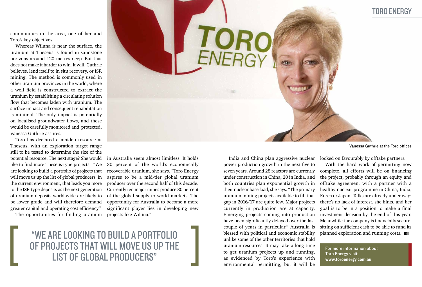communities in the area, one of her and Toro's key objectives.

Whereas Wiluna is near the surface, the uranium at Theseus is found in sandstone horizons around 120 metres deep. But that does not make it harder to win. It will, Guthrie believes, lend itself to in situ recovery, or ISR mining. The method is commonly used in other uranium provinces in the world, where a well field is constructed to extract the uranium by establishing a circulating solution flow that becomes laden with uranium. The surface impact and consequent rehabilitation is minimal. The only impact is potentially on localised groundwater flows, and these would be carefully monitored and protected, Vanessa Guthrie assures.

Toro has declared a maiden resource at Theseus, with an exploration target range still to be tested to determine the size of the potential resource. The next stage? She would like to find more Theseus-type projects: "We are looking to build a portfolio of projects that will move us up the list of global producers. In the current environment, that leads you more to the ISR type deposits as the next generation of uranium deposits world-wide are likely to be lower grade and will therefore demand greater capital and operating cost efficiency."

looked on favourably by offtake partners. With the hard work of permitting now complete, all efforts will be on financing the project, probably through an equity and offtake agreement with a partner with a healthy nuclear programme in China, India, Korea or Japan. Talks are already under way: there's no lack of interest, she hints, and her goal is to be in a position to make a final investment decision by the end of this year. Meanwhile the company is financially secure, sitting on sufficient cash to be able to fund its planned exploration and running costs.  $B$ 

The opportunities for finding uranium

India and China plan aggressive nuclear power production growth in the next five to seven years. Around 28 reactors are currently under construction in China, 20 in India, and both countries plan exponential growth in their nuclear base load, she says. "The primary uranium mining projects available to fill that gap in 2016/17 are quite few. Major projects currently in production are at capacity. Emerging projects coming into production have been significantly delayed over the last couple of years in particular." Australia is blessed with political and economic stability unlike some of the other territories that hold uranium resources. It may take a long time to get uranium projects up and running, as evidenced by Toro's experience with environmental permitting, but it will be



## "We are looking to build a portfolio of projects that will move us up the LIST OF GLOBAL PRODUCERS"



Vanessa Guthrie at the Toro offices

## Toro Energy

For more information about Toro Energy visit: www.toroenergy.com.au